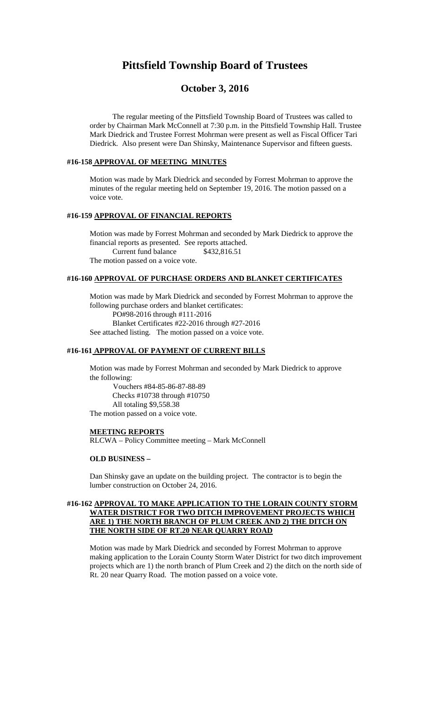# **Pittsfield Township Board of Trustees**

# **October 3, 2016**

The regular meeting of the Pittsfield Township Board of Trustees was called to order by Chairman Mark McConnell at 7:30 p.m. in the Pittsfield Township Hall. Trustee Mark Diedrick and Trustee Forrest Mohrman were present as well as Fiscal Officer Tari Diedrick. Also present were Dan Shinsky, Maintenance Supervisor and fifteen guests.

#### **#16-158 APPROVAL OF MEETING MINUTES**

Motion was made by Mark Diedrick and seconded by Forrest Mohrman to approve the minutes of the regular meeting held on September 19, 2016. The motion passed on a voice vote.

## **#16-159 APPROVAL OF FINANCIAL REPORTS**

Motion was made by Forrest Mohrman and seconded by Mark Diedrick to approve the financial reports as presented. See reports attached. Current fund balance \$432,816.51 The motion passed on a voice vote.

#### **#16-160 APPROVAL OF PURCHASE ORDERS AND BLANKET CERTIFICATES**

Motion was made by Mark Diedrick and seconded by Forrest Mohrman to approve the following purchase orders and blanket certificates: PO#98-2016 through #111-2016 Blanket Certificates #22-2016 through #27-2016 See attached listing. The motion passed on a voice vote.

#### **#16-161 APPROVAL OF PAYMENT OF CURRENT BILLS**

Motion was made by Forrest Mohrman and seconded by Mark Diedrick to approve the following:

Vouchers #84-85-86-87-88-89 Checks #10738 through #10750 All totaling \$9,558.38 The motion passed on a voice vote.

#### **MEETING REPORTS**

RLCWA – Policy Committee meeting – Mark McConnell

## **OLD BUSINESS –**

Dan Shinsky gave an update on the building project. The contractor is to begin the lumber construction on October 24, 2016.

## **#16-162 APPROVAL TO MAKE APPLICATION TO THE LORAIN COUNTY STORM WATER DISTRICT FOR TWO DITCH IMPROVEMENT PROJECTS WHICH ARE 1) THE NORTH BRANCH OF PLUM CREEK AND 2) THE DITCH ON THE NORTH SIDE OF RT.20 NEAR QUARRY ROAD**

Motion was made by Mark Diedrick and seconded by Forrest Mohrman to approve making application to the Lorain County Storm Water District for two ditch improvement projects which are 1) the north branch of Plum Creek and 2) the ditch on the north side of Rt. 20 near Quarry Road. The motion passed on a voice vote.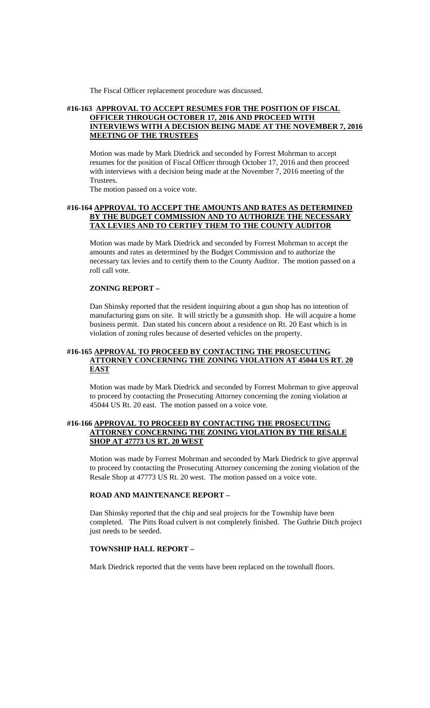The Fiscal Officer replacement procedure was discussed.

#### **#16-163 APPROVAL TO ACCEPT RESUMES FOR THE POSITION OF FISCAL OFFICER THROUGH OCTOBER 17, 2016 AND PROCEED WITH INTERVIEWS WITH A DECISION BEING MADE AT THE NOVEMBER 7, 2016 MEETING OF THE TRUSTEES**

Motion was made by Mark Diedrick and seconded by Forrest Mohrman to accept resumes for the position of Fiscal Officer through October 17, 2016 and then proceed with interviews with a decision being made at the November 7, 2016 meeting of the Trustees.

The motion passed on a voice vote.

#### **#16-164 APPROVAL TO ACCEPT THE AMOUNTS AND RATES AS DETERMINED BY THE BUDGET COMMISSION AND TO AUTHORIZE THE NECESSARY TAX LEVIES AND TO CERTIFY THEM TO THE COUNTY AUDITOR**

Motion was made by Mark Diedrick and seconded by Forrest Mohrman to accept the amounts and rates as determined by the Budget Commission and to authorize the necessary tax levies and to certify them to the County Auditor. The motion passed on a roll call vote.

#### **ZONING REPORT –**

Dan Shinsky reported that the resident inquiring about a gun shop has no intention of manufacturing guns on site. It will strictly be a gunsmith shop. He will acquire a home business permit. Dan stated his concern about a residence on Rt. 20 East which is in violation of zoning rules because of deserted vehicles on the property.

#### **#16-165 APPROVAL TO PROCEED BY CONTACTING THE PROSECUTING ATTORNEY CONCERNING THE ZONING VIOLATION AT 45044 US RT. 20 EAST**

Motion was made by Mark Diedrick and seconded by Forrest Mohrman to give approval to proceed by contacting the Prosecuting Attorney concerning the zoning violation at 45044 US Rt. 20 east. The motion passed on a voice vote.

#### **#16-166 APPROVAL TO PROCEED BY CONTACTING THE PROSECUTING ATTORNEY CONCERNING THE ZONING VIOLATION BY THE RESALE SHOP AT 47773 US RT. 20 WEST**

Motion was made by Forrest Mohrman and seconded by Mark Diedrick to give approval to proceed by contacting the Prosecuting Attorney concerning the zoning violation of the Resale Shop at 47773 US Rt. 20 west. The motion passed on a voice vote.

#### **ROAD AND MAINTENANCE REPORT –**

Dan Shinsky reported that the chip and seal projects for the Township have been completed. The Pitts Road culvert is not completely finished. The Guthrie Ditch project just needs to be seeded.

#### **TOWNSHIP HALL REPORT –**

Mark Diedrick reported that the vents have been replaced on the townhall floors.